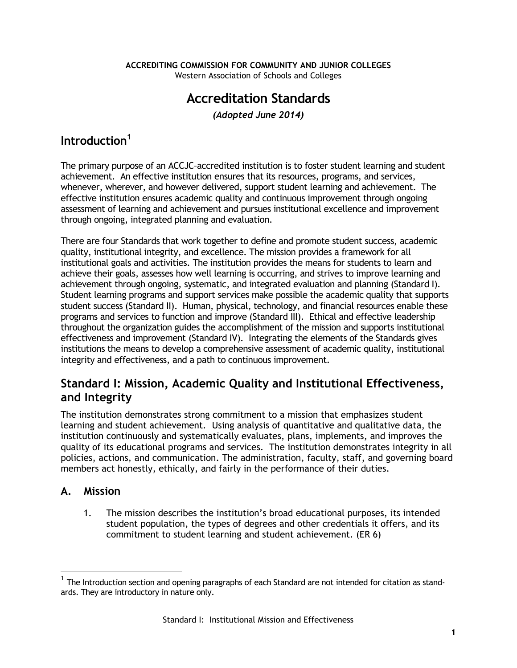# **Accreditation Standards**

*(Adopted June 2014)* 

# **Introduction<sup>1</sup>**

The primary purpose of an ACCJC–accredited institution is to foster student learning and student achievement. An effective institution ensures that its resources, programs, and services, whenever, wherever, and however delivered, support student learning and achievement. The effective institution ensures academic quality and continuous improvement through ongoing assessment of learning and achievement and pursues institutional excellence and improvement through ongoing, integrated planning and evaluation.

There are four Standards that work together to define and promote student success, academic quality, institutional integrity, and excellence. The mission provides a framework for all institutional goals and activities. The institution provides the means for students to learn and achieve their goals, assesses how well learning is occurring, and strives to improve learning and achievement through ongoing, systematic, and integrated evaluation and planning (Standard I). Student learning programs and support services make possible the academic quality that supports student success (Standard II). Human, physical, technology, and financial resources enable these programs and services to function and improve (Standard III). Ethical and effective leadership throughout the organization guides the accomplishment of the mission and supports institutional effectiveness and improvement (Standard IV). Integrating the elements of the Standards gives institutions the means to develop a comprehensive assessment of academic quality, institutional integrity and effectiveness, and a path to continuous improvement.

# **Standard I: Mission, Academic Quality and Institutional Effectiveness, and Integrity**

The institution demonstrates strong commitment to a mission that emphasizes student learning and student achievement. Using analysis of quantitative and qualitative data, the institution continuously and systematically evaluates, plans, implements, and improves the quality of its educational programs and services. The institution demonstrates integrity in all policies, actions, and communication. The administration, faculty, staff, and governing board members act honestly, ethically, and fairly in the performance of their duties.

# **A. Mission**

 $\overline{a}$ 

1. The mission describes the institution's broad educational purposes, its intended student population, the types of degrees and other credentials it offers, and its commitment to student learning and student achievement. (ER 6)

 $^{\rm 1}$  The Introduction section and opening paragraphs of each Standard are not intended for citation as standards. They are introductory in nature only.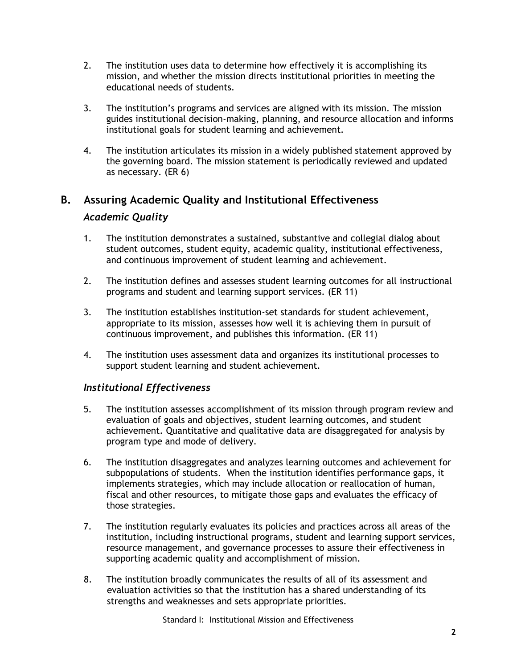- 2. The institution uses data to determine how effectively it is accomplishing its mission, and whether the mission directs institutional priorities in meeting the educational needs of students.
- 3. The institution's programs and services are aligned with its mission. The mission guides institutional decision-making, planning, and resource allocation and informs institutional goals for student learning and achievement.
- 4. The institution articulates its mission in a widely published statement approved by the governing board. The mission statement is periodically reviewed and updated as necessary. (ER 6)

#### **B. Assuring Academic Quality and Institutional Effectiveness**

#### *Academic Quality*

- 1. The institution demonstrates a sustained, substantive and collegial dialog about student outcomes, student equity, academic quality, institutional effectiveness, and continuous improvement of student learning and achievement.
- 2. The institution defines and assesses student learning outcomes for all instructional programs and student and learning support services. (ER 11)
- 3. The institution establishes institution-set standards for student achievement, appropriate to its mission, assesses how well it is achieving them in pursuit of continuous improvement, and publishes this information. (ER 11)
- 4. The institution uses assessment data and organizes its institutional processes to support student learning and student achievement.

#### *Institutional Effectiveness*

- 5. The institution assesses accomplishment of its mission through program review and evaluation of goals and objectives, student learning outcomes, and student achievement. Quantitative and qualitative data are disaggregated for analysis by program type and mode of delivery.
- 6. The institution disaggregates and analyzes learning outcomes and achievement for subpopulations of students. When the institution identifies performance gaps, it implements strategies, which may include allocation or reallocation of human, fiscal and other resources, to mitigate those gaps and evaluates the efficacy of those strategies.
- 7. The institution regularly evaluates its policies and practices across all areas of the institution, including instructional programs, student and learning support services, resource management, and governance processes to assure their effectiveness in supporting academic quality and accomplishment of mission.
- 8. The institution broadly communicates the results of all of its assessment and evaluation activities so that the institution has a shared understanding of its strengths and weaknesses and sets appropriate priorities.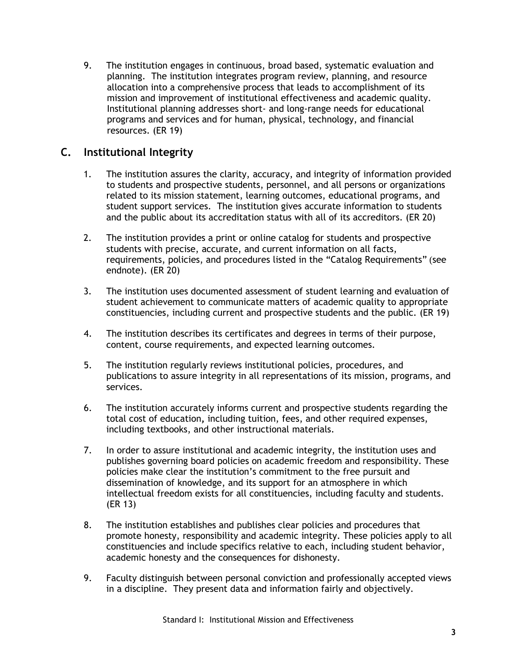9. The institution engages in continuous, broad based, systematic evaluation and planning. The institution integrates program review, planning, and resource allocation into a comprehensive process that leads to accomplishment of its mission and improvement of institutional effectiveness and academic quality. Institutional planning addresses short- and long-range needs for educational programs and services and for human, physical, technology, and financial resources. (ER 19)

### **C. Institutional Integrity**

- 1. The institution assures the clarity, accuracy, and integrity of information provided to students and prospective students, personnel, and all persons or organizations related to its mission statement, learning outcomes, educational programs, and student support services. The institution gives accurate information to students and the public about its accreditation status with all of its accreditors. (ER 20)
- 2. The institution provides a print or online catalog for students and prospective students with precise, accurate, and current information on all facts, requirements, policies, and procedures listed in the "Catalog Requirements" (see endnote). (ER 20)
- 3. The institution uses documented assessment of student learning and evaluation of student achievement to communicate matters of academic quality to appropriate constituencies, including current and prospective students and the public. (ER 19)
- 4. The institution describes its certificates and degrees in terms of their purpose, content, course requirements, and expected learning outcomes.
- 5. The institution regularly reviews institutional policies, procedures, and publications to assure integrity in all representations of its mission, programs, and services.
- 6. The institution accurately informs current and prospective students regarding the total cost of education**,** including tuition, fees, and other required expenses, including textbooks, and other instructional materials.
- 7. In order to assure institutional and academic integrity, the institution uses and publishes governing board policies on academic freedom and responsibility. These policies make clear the institution's commitment to the free pursuit and dissemination of knowledge, and its support for an atmosphere in which intellectual freedom exists for all constituencies, including faculty and students. (ER 13)
- 8. The institution establishes and publishes clear policies and procedures that promote honesty, responsibility and academic integrity. These policies apply to all constituencies and include specifics relative to each, including student behavior, academic honesty and the consequences for dishonesty.
- 9. Faculty distinguish between personal conviction and professionally accepted views in a discipline. They present data and information fairly and objectively.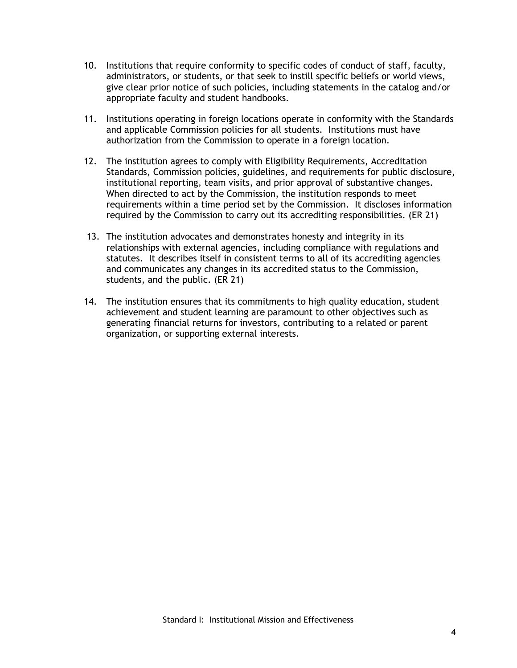- 10. Institutions that require conformity to specific codes of conduct of staff, faculty, administrators, or students, or that seek to instill specific beliefs or world views, give clear prior notice of such policies, including statements in the catalog and/or appropriate faculty and student handbooks.
- 11. Institutions operating in foreign locations operate in conformity with the Standards and applicable Commission policies for all students. Institutions must have authorization from the Commission to operate in a foreign location.
- 12. The institution agrees to comply with Eligibility Requirements, Accreditation Standards, Commission policies, guidelines, and requirements for public disclosure, institutional reporting, team visits, and prior approval of substantive changes. When directed to act by the Commission, the institution responds to meet requirements within a time period set by the Commission. It discloses information required by the Commission to carry out its accrediting responsibilities. (ER 21)
- 13. The institution advocates and demonstrates honesty and integrity in its relationships with external agencies, including compliance with regulations and statutes. It describes itself in consistent terms to all of its accrediting agencies and communicates any changes in its accredited status to the Commission, students, and the public. (ER 21)
- 14. The institution ensures that its commitments to high quality education, student achievement and student learning are paramount to other objectives such as generating financial returns for investors, contributing to a related or parent organization, or supporting external interests.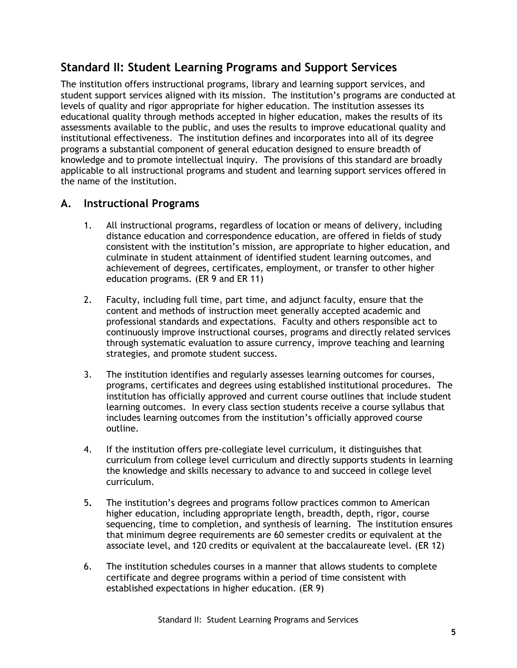# **Standard II: Student Learning Programs and Support Services**

The institution offers instructional programs, library and learning support services, and student support services aligned with its mission. The institution's programs are conducted at levels of quality and rigor appropriate for higher education. The institution assesses its educational quality through methods accepted in higher education, makes the results of its assessments available to the public, and uses the results to improve educational quality and institutional effectiveness. The institution defines and incorporates into all of its degree programs a substantial component of general education designed to ensure breadth of knowledge and to promote intellectual inquiry. The provisions of this standard are broadly applicable to all instructional programs and student and learning support services offered in the name of the institution.

### **A. Instructional Programs**

- 1. All instructional programs, regardless of location or means of delivery, including distance education and correspondence education, are offered in fields of study consistent with the institution's mission, are appropriate to higher education, and culminate in student attainment of identified student learning outcomes, and achievement of degrees, certificates, employment, or transfer to other higher education programs. (ER 9 and ER 11)
- 2. Faculty, including full time, part time, and adjunct faculty, ensure that the content and methods of instruction meet generally accepted academic and professional standards and expectations. Faculty and others responsible act to continuously improve instructional courses, programs and directly related services through systematic evaluation to assure currency, improve teaching and learning strategies, and promote student success.
- 3. The institution identifies and regularly assesses learning outcomes for courses, programs, certificates and degrees using established institutional procedures. The institution has officially approved and current course outlines that include student learning outcomes. In every class section students receive a course syllabus that includes learning outcomes from the institution's officially approved course outline.
- 4. If the institution offers pre-collegiate level curriculum, it distinguishes that curriculum from college level curriculum and directly supports students in learning the knowledge and skills necessary to advance to and succeed in college level curriculum.
- 5**.** The institution's degrees and programs follow practices common to American higher education, including appropriate length, breadth, depth, rigor, course sequencing, time to completion, and synthesis of learning. The institution ensures that minimum degree requirements are 60 semester credits or equivalent at the associate level, and 120 credits or equivalent at the baccalaureate level. (ER 12)
- 6. The institution schedules courses in a manner that allows students to complete certificate and degree programs within a period of time consistent with established expectations in higher education. (ER 9)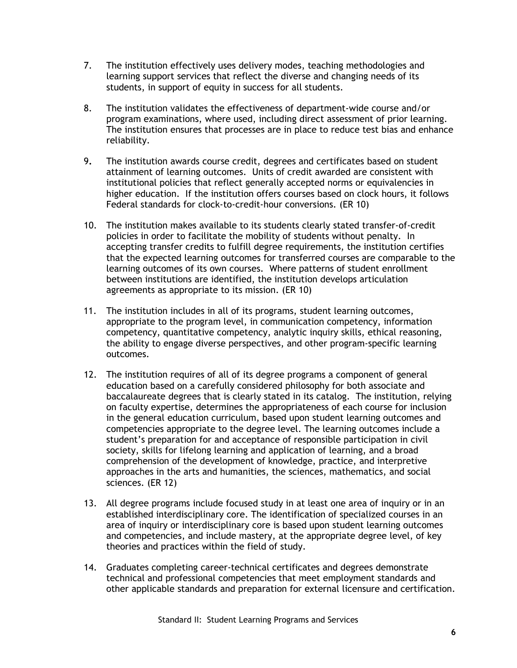- 7. The institution effectively uses delivery modes, teaching methodologies and learning support services that reflect the diverse and changing needs of its students, in support of equity in success for all students.
- 8. The institution validates the effectiveness of department-wide course and/or program examinations, where used, including direct assessment of prior learning. The institution ensures that processes are in place to reduce test bias and enhance reliability.
- 9**.** The institution awards course credit, degrees and certificates based on student attainment of learning outcomes. Units of credit awarded are consistent with institutional policies that reflect generally accepted norms or equivalencies in higher education. If the institution offers courses based on clock hours, it follows Federal standards for clock-to-credit-hour conversions. (ER 10)
- 10. The institution makes available to its students clearly stated transfer-of-credit policies in order to facilitate the mobility of students without penalty. In accepting transfer credits to fulfill degree requirements, the institution certifies that the expected learning outcomes for transferred courses are comparable to the learning outcomes of its own courses. Where patterns of student enrollment between institutions are identified, the institution develops articulation agreements as appropriate to its mission. (ER 10)
- 11. The institution includes in all of its programs, student learning outcomes, appropriate to the program level, in communication competency, information competency, quantitative competency, analytic inquiry skills, ethical reasoning, the ability to engage diverse perspectives, and other program-specific learning outcomes.
- 12. The institution requires of all of its degree programs a component of general education based on a carefully considered philosophy for both associate and baccalaureate degrees that is clearly stated in its catalog. The institution, relying on faculty expertise, determines the appropriateness of each course for inclusion in the general education curriculum, based upon student learning outcomes and competencies appropriate to the degree level. The learning outcomes include a student's preparation for and acceptance of responsible participation in civil society, skills for lifelong learning and application of learning, and a broad comprehension of the development of knowledge, practice, and interpretive approaches in the arts and humanities, the sciences, mathematics, and social sciences. (ER 12)
- 13. All degree programs include focused study in at least one area of inquiry or in an established interdisciplinary core. The identification of specialized courses in an area of inquiry or interdisciplinary core is based upon student learning outcomes and competencies, and include mastery, at the appropriate degree level, of key theories and practices within the field of study.
- 14. Graduates completing career-technical certificates and degrees demonstrate technical and professional competencies that meet employment standards and other applicable standards and preparation for external licensure and certification.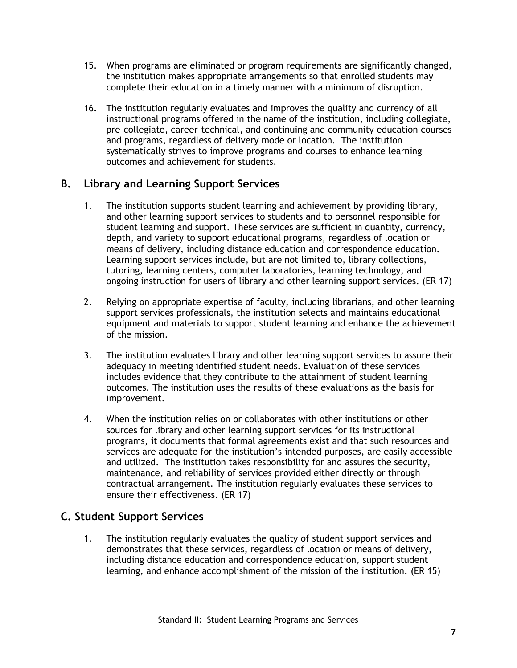- 15. When programs are eliminated or program requirements are significantly changed, the institution makes appropriate arrangements so that enrolled students may complete their education in a timely manner with a minimum of disruption.
- 16. The institution regularly evaluates and improves the quality and currency of all instructional programs offered in the name of the institution, including collegiate, pre-collegiate, career-technical, and continuing and community education courses and programs, regardless of delivery mode or location. The institution systematically strives to improve programs and courses to enhance learning outcomes and achievement for students.

### **B. Library and Learning Support Services**

- 1. The institution supports student learning and achievement by providing library, and other learning support services to students and to personnel responsible for student learning and support. These services are sufficient in quantity, currency, depth, and variety to support educational programs, regardless of location or means of delivery, including distance education and correspondence education. Learning support services include, but are not limited to, library collections, tutoring, learning centers, computer laboratories, learning technology, and ongoing instruction for users of library and other learning support services. (ER 17)
- 2. Relying on appropriate expertise of faculty, including librarians, and other learning support services professionals, the institution selects and maintains educational equipment and materials to support student learning and enhance the achievement of the mission.
- 3. The institution evaluates library and other learning support services to assure their adequacy in meeting identified student needs. Evaluation of these services includes evidence that they contribute to the attainment of student learning outcomes. The institution uses the results of these evaluations as the basis for improvement.
- 4. When the institution relies on or collaborates with other institutions or other sources for library and other learning support services for its instructional programs, it documents that formal agreements exist and that such resources and services are adequate for the institution's intended purposes, are easily accessible and utilized. The institution takes responsibility for and assures the security, maintenance, and reliability of services provided either directly or through contractual arrangement. The institution regularly evaluates these services to ensure their effectiveness. (ER 17)

### **C. Student Support Services**

1. The institution regularly evaluates the quality of student support services and demonstrates that these services, regardless of location or means of delivery, including distance education and correspondence education, support student learning, and enhance accomplishment of the mission of the institution. (ER 15)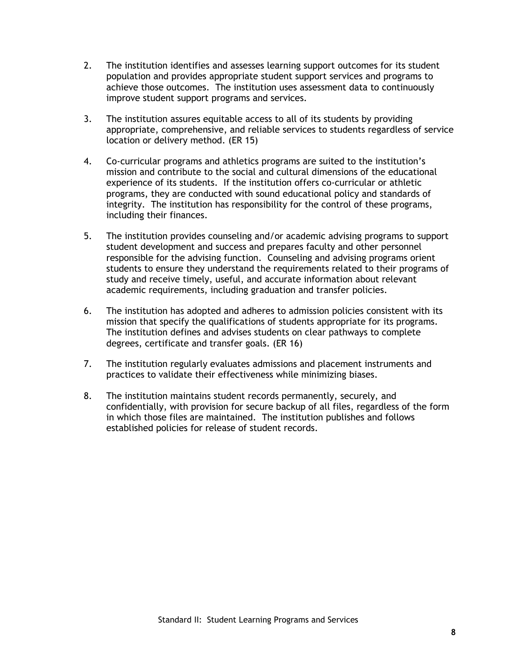- 2. The institution identifies and assesses learning support outcomes for its student population and provides appropriate student support services and programs to achieve those outcomes. The institution uses assessment data to continuously improve student support programs and services.
- 3. The institution assures equitable access to all of its students by providing appropriate, comprehensive, and reliable services to students regardless of service location or delivery method. (ER 15)
- 4. Co-curricular programs and athletics programs are suited to the institution's mission and contribute to the social and cultural dimensions of the educational experience of its students. If the institution offers co-curricular or athletic programs, they are conducted with sound educational policy and standards of integrity. The institution has responsibility for the control of these programs, including their finances.
- 5. The institution provides counseling and/or academic advising programs to support student development and success and prepares faculty and other personnel responsible for the advising function. Counseling and advising programs orient students to ensure they understand the requirements related to their programs of study and receive timely, useful, and accurate information about relevant academic requirements, including graduation and transfer policies.
- 6. The institution has adopted and adheres to admission policies consistent with its mission that specify the qualifications of students appropriate for its programs. The institution defines and advises students on clear pathways to complete degrees, certificate and transfer goals. (ER 16)
- 7. The institution regularly evaluates admissions and placement instruments and practices to validate their effectiveness while minimizing biases.
- 8. The institution maintains student records permanently, securely, and confidentially, with provision for secure backup of all files, regardless of the form in which those files are maintained. The institution publishes and follows established policies for release of student records.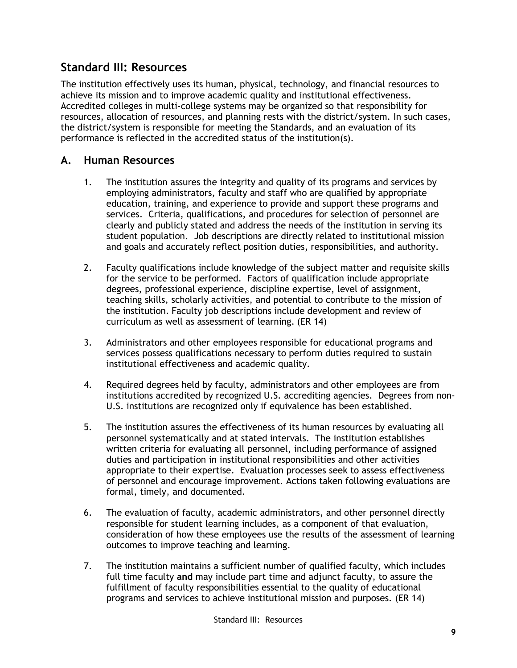### **Standard III: Resources**

The institution effectively uses its human, physical, technology, and financial resources to achieve its mission and to improve academic quality and institutional effectiveness. Accredited colleges in multi-college systems may be organized so that responsibility for resources, allocation of resources, and planning rests with the district/system. In such cases, the district/system is responsible for meeting the Standards, and an evaluation of its performance is reflected in the accredited status of the institution(s).

### **A. Human Resources**

- 1. The institution assures the integrity and quality of its programs and services by employing administrators, faculty and staff who are qualified by appropriate education, training, and experience to provide and support these programs and services. Criteria, qualifications, and procedures for selection of personnel are clearly and publicly stated and address the needs of the institution in serving its student population. Job descriptions are directly related to institutional mission and goals and accurately reflect position duties, responsibilities, and authority.
- 2. Faculty qualifications include knowledge of the subject matter and requisite skills for the service to be performed. Factors of qualification include appropriate degrees, professional experience, discipline expertise, level of assignment, teaching skills, scholarly activities, and potential to contribute to the mission of the institution. Faculty job descriptions include development and review of curriculum as well as assessment of learning. (ER 14)
- 3. Administrators and other employees responsible for educational programs and services possess qualifications necessary to perform duties required to sustain institutional effectiveness and academic quality.
- 4. Required degrees held by faculty, administrators and other employees are from institutions accredited by recognized U.S. accrediting agencies. Degrees from non-U.S. institutions are recognized only if equivalence has been established.
- 5. The institution assures the effectiveness of its human resources by evaluating all personnel systematically and at stated intervals. The institution establishes written criteria for evaluating all personnel, including performance of assigned duties and participation in institutional responsibilities and other activities appropriate to their expertise. Evaluation processes seek to assess effectiveness of personnel and encourage improvement. Actions taken following evaluations are formal, timely, and documented.
- 6. The evaluation of faculty, academic administrators, and other personnel directly responsible for student learning includes, as a component of that evaluation, consideration of how these employees use the results of the assessment of learning outcomes to improve teaching and learning.
- 7. The institution maintains a sufficient number of qualified faculty, which includes full time faculty **and** may include part time and adjunct faculty, to assure the fulfillment of faculty responsibilities essential to the quality of educational programs and services to achieve institutional mission and purposes. (ER 14)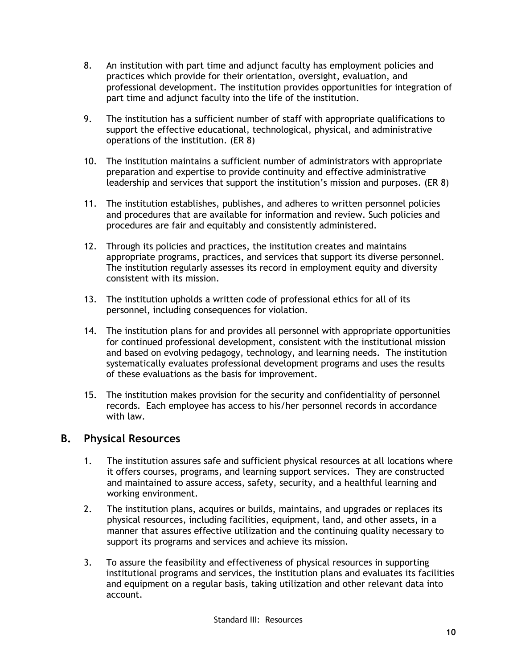- 8. An institution with part time and adjunct faculty has employment policies and practices which provide for their orientation, oversight, evaluation, and professional development. The institution provides opportunities for integration of part time and adjunct faculty into the life of the institution.
- 9. The institution has a sufficient number of staff with appropriate qualifications to support the effective educational, technological, physical, and administrative operations of the institution. (ER 8)
- 10. The institution maintains a sufficient number of administrators with appropriate preparation and expertise to provide continuity and effective administrative leadership and services that support the institution's mission and purposes. (ER 8)
- 11. The institution establishes, publishes, and adheres to written personnel policies and procedures that are available for information and review. Such policies and procedures are fair and equitably and consistently administered.
- 12. Through its policies and practices, the institution creates and maintains appropriate programs, practices, and services that support its diverse personnel. The institution regularly assesses its record in employment equity and diversity consistent with its mission.
- 13. The institution upholds a written code of professional ethics for all of its personnel, including consequences for violation.
- 14. The institution plans for and provides all personnel with appropriate opportunities for continued professional development, consistent with the institutional mission and based on evolving pedagogy, technology, and learning needs. The institution systematically evaluates professional development programs and uses the results of these evaluations as the basis for improvement.
- 15. The institution makes provision for the security and confidentiality of personnel records. Each employee has access to his/her personnel records in accordance with law.

### **B. Physical Resources**

- 1. The institution assures safe and sufficient physical resources at all locations where it offers courses, programs, and learning support services. They are constructed and maintained to assure access, safety, security, and a healthful learning and working environment.
- 2. The institution plans, acquires or builds, maintains, and upgrades or replaces its physical resources, including facilities, equipment, land, and other assets, in a manner that assures effective utilization and the continuing quality necessary to support its programs and services and achieve its mission.
- 3. To assure the feasibility and effectiveness of physical resources in supporting institutional programs and services, the institution plans and evaluates its facilities and equipment on a regular basis, taking utilization and other relevant data into account.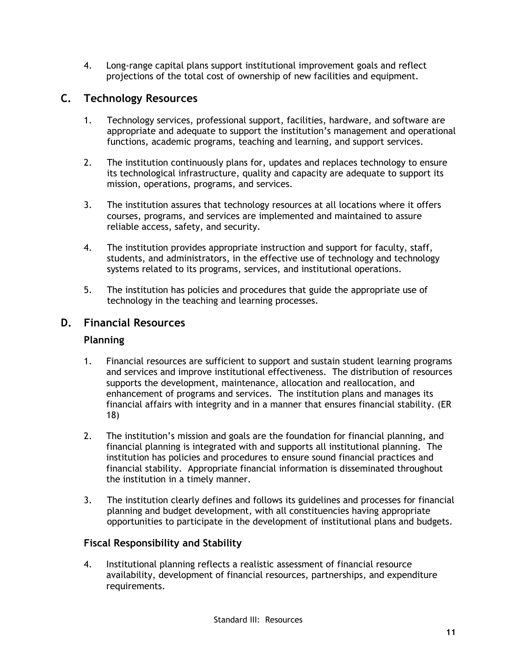4. Long-range capital plans support institutional improvement goals and reflect projections of the total cost of ownership of new facilities and equipment.

### **C. Technology Resources**

- 1. Technology services, professional support, facilities, hardware, and software are appropriate and adequate to support the institution's management and operational functions, academic programs, teaching and learning, and support services.
- 2. The institution continuously plans for, updates and replaces technology to ensure its technological infrastructure, quality and capacity are adequate to support its mission, operations, programs, and services.
- 3. The institution assures that technology resources at all locations where it offers courses, programs, and services are implemented and maintained to assure reliable access, safety, and security.
- 4. The institution provides appropriate instruction and support for faculty, staff, students, and administrators, in the effective use of technology and technology systems related to its programs, services, and institutional operations.
- 5. The institution has policies and procedures that guide the appropriate use of technology in the teaching and learning processes.

#### **D. Financial Resources**

#### **Planning**

- 1. Financial resources are sufficient to support and sustain student learning programs and services and improve institutional effectiveness. The distribution of resources supports the development, maintenance, allocation and reallocation, and enhancement of programs and services. The institution plans and manages its financial affairs with integrity and in a manner that ensures financial stability. (ER 18)
- 2. The institution's mission and goals are the foundation for financial planning, and financial planning is integrated with and supports all institutional planning. The institution has policies and procedures to ensure sound financial practices and financial stability. Appropriate financial information is disseminated throughout the institution in a timely manner.
- 3. The institution clearly defines and follows its guidelines and processes for financial planning and budget development, with all constituencies having appropriate opportunities to participate in the development of institutional plans and budgets.

#### **Fiscal Responsibility and Stability**

4. Institutional planning reflects a realistic assessment of financial resource availability, development of financial resources, partnerships, and expenditure requirements.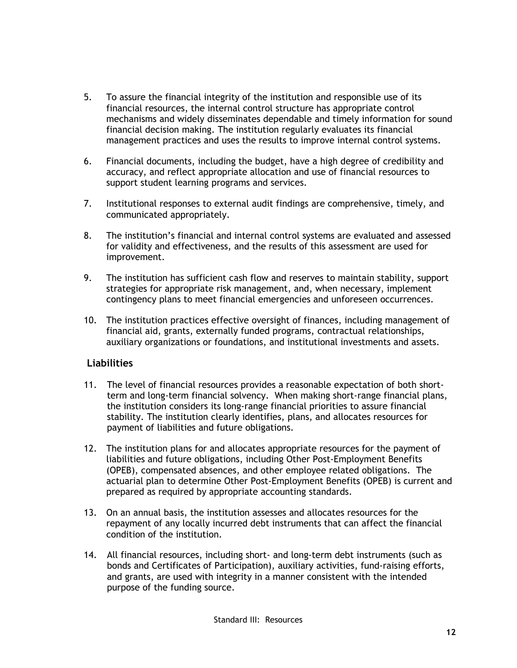- 5. To assure the financial integrity of the institution and responsible use of its financial resources, the internal control structure has appropriate control mechanisms and widely disseminates dependable and timely information for sound financial decision making. The institution regularly evaluates its financial management practices and uses the results to improve internal control systems.
- 6. Financial documents, including the budget, have a high degree of credibility and accuracy, and reflect appropriate allocation and use of financial resources to support student learning programs and services.
- 7. Institutional responses to external audit findings are comprehensive, timely, and communicated appropriately.
- 8. The institution's financial and internal control systems are evaluated and assessed for validity and effectiveness, and the results of this assessment are used for improvement.
- 9. The institution has sufficient cash flow and reserves to maintain stability, support strategies for appropriate risk management, and, when necessary, implement contingency plans to meet financial emergencies and unforeseen occurrences.
- 10. The institution practices effective oversight of finances, including management of financial aid, grants, externally funded programs, contractual relationships, auxiliary organizations or foundations, and institutional investments and assets.

#### **Liabilities**

- 11. The level of financial resources provides a reasonable expectation of both shortterm and long-term financial solvency. When making short-range financial plans, the institution considers its long-range financial priorities to assure financial stability. The institution clearly identifies, plans, and allocates resources for payment of liabilities and future obligations.
- 12. The institution plans for and allocates appropriate resources for the payment of liabilities and future obligations, including Other Post-Employment Benefits (OPEB), compensated absences, and other employee related obligations. The actuarial plan to determine Other Post-Employment Benefits (OPEB) is current and prepared as required by appropriate accounting standards.
- 13. On an annual basis, the institution assesses and allocates resources for the repayment of any locally incurred debt instruments that can affect the financial condition of the institution.
- 14. All financial resources, including short- and long-term debt instruments (such as bonds and Certificates of Participation), auxiliary activities, fund-raising efforts, and grants, are used with integrity in a manner consistent with the intended purpose of the funding source.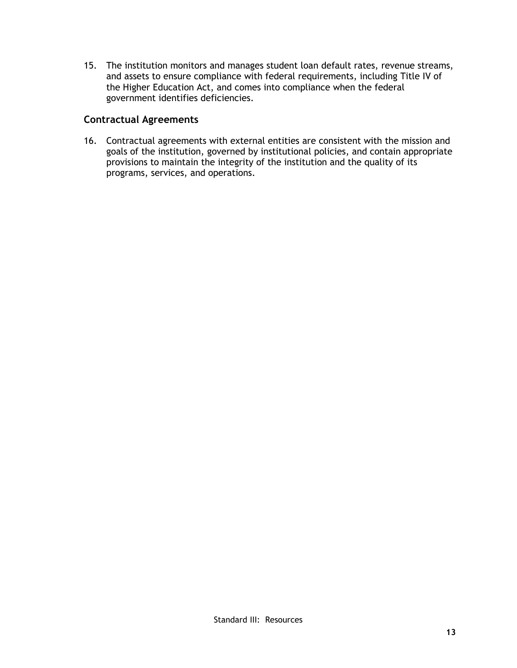15. The institution monitors and manages student loan default rates, revenue streams, and assets to ensure compliance with federal requirements, including Title IV of the Higher Education Act, and comes into compliance when the federal government identifies deficiencies.

#### **Contractual Agreements**

16. Contractual agreements with external entities are consistent with the mission and goals of the institution, governed by institutional policies, and contain appropriate provisions to maintain the integrity of the institution and the quality of its programs, services, and operations.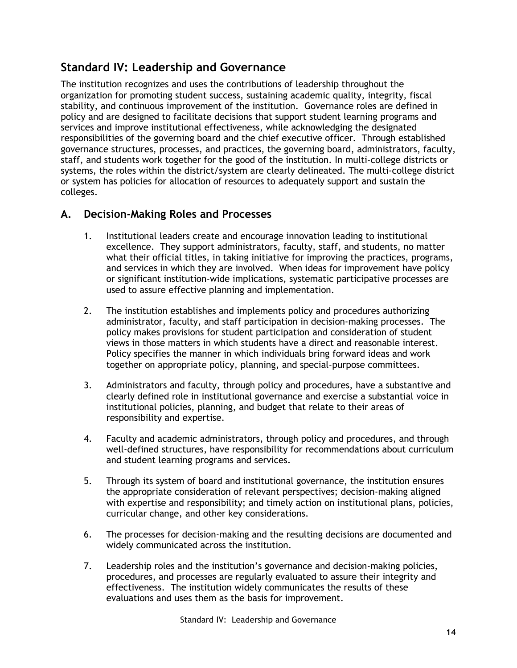# **Standard IV: Leadership and Governance**

The institution recognizes and uses the contributions of leadership throughout the organization for promoting student success, sustaining academic quality, integrity, fiscal stability, and continuous improvement of the institution. Governance roles are defined in policy and are designed to facilitate decisions that support student learning programs and services and improve institutional effectiveness, while acknowledging the designated responsibilities of the governing board and the chief executive officer. Through established governance structures, processes, and practices, the governing board, administrators, faculty, staff, and students work together for the good of the institution. In multi-college districts or systems, the roles within the district/system are clearly delineated. The multi-college district or system has policies for allocation of resources to adequately support and sustain the colleges.

### **A. Decision-Making Roles and Processes**

- 1. Institutional leaders create and encourage innovation leading to institutional excellence. They support administrators, faculty, staff, and students, no matter what their official titles, in taking initiative for improving the practices, programs, and services in which they are involved. When ideas for improvement have policy or significant institution-wide implications, systematic participative processes are used to assure effective planning and implementation.
- 2. The institution establishes and implements policy and procedures authorizing administrator, faculty, and staff participation in decision-making processes. The policy makes provisions for student participation and consideration of student views in those matters in which students have a direct and reasonable interest. Policy specifies the manner in which individuals bring forward ideas and work together on appropriate policy, planning, and special-purpose committees.
- 3. Administrators and faculty, through policy and procedures, have a substantive and clearly defined role in institutional governance and exercise a substantial voice in institutional policies, planning, and budget that relate to their areas of responsibility and expertise.
- 4. Faculty and academic administrators, through policy and procedures, and through well-defined structures, have responsibility for recommendations about curriculum and student learning programs and services.
- 5. Through its system of board and institutional governance, the institution ensures the appropriate consideration of relevant perspectives; decision-making aligned with expertise and responsibility; and timely action on institutional plans, policies, curricular change, and other key considerations.
- 6. The processes for decision-making and the resulting decisions are documented and widely communicated across the institution.
- 7. Leadership roles and the institution's governance and decision-making policies, procedures, and processes are regularly evaluated to assure their integrity and effectiveness. The institution widely communicates the results of these evaluations and uses them as the basis for improvement.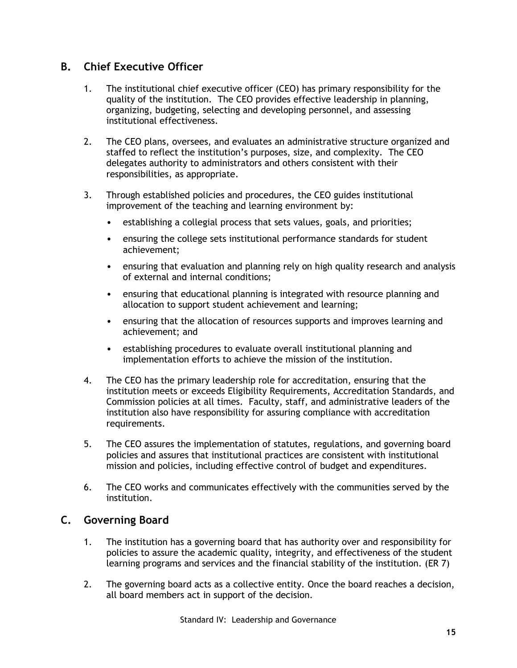### **B. Chief Executive Officer**

- 1. The institutional chief executive officer (CEO) has primary responsibility for the quality of the institution. The CEO provides effective leadership in planning, organizing, budgeting, selecting and developing personnel, and assessing institutional effectiveness.
- 2. The CEO plans, oversees, and evaluates an administrative structure organized and staffed to reflect the institution's purposes, size, and complexity. The CEO delegates authority to administrators and others consistent with their responsibilities, as appropriate.
- 3. Through established policies and procedures, the CEO guides institutional improvement of the teaching and learning environment by:
	- establishing a collegial process that sets values, goals, and priorities;
	- ensuring the college sets institutional performance standards for student achievement;
	- ensuring that evaluation and planning rely on high quality research and analysis of external and internal conditions;
	- ensuring that educational planning is integrated with resource planning and allocation to support student achievement and learning;
	- ensuring that the allocation of resources supports and improves learning and achievement; and
	- establishing procedures to evaluate overall institutional planning and implementation efforts to achieve the mission of the institution.
- 4. The CEO has the primary leadership role for accreditation, ensuring that the institution meets or exceeds Eligibility Requirements, Accreditation Standards, and Commission policies at all times. Faculty, staff, and administrative leaders of the institution also have responsibility for assuring compliance with accreditation requirements.
- 5. The CEO assures the implementation of statutes, regulations, and governing board policies and assures that institutional practices are consistent with institutional mission and policies, including effective control of budget and expenditures.
- 6. The CEO works and communicates effectively with the communities served by the institution.

### **C. Governing Board**

- 1. The institution has a governing board that has authority over and responsibility for policies to assure the academic quality, integrity, and effectiveness of the student learning programs and services and the financial stability of the institution. (ER 7)
- 2. The governing board acts as a collective entity. Once the board reaches a decision, all board members act in support of the decision.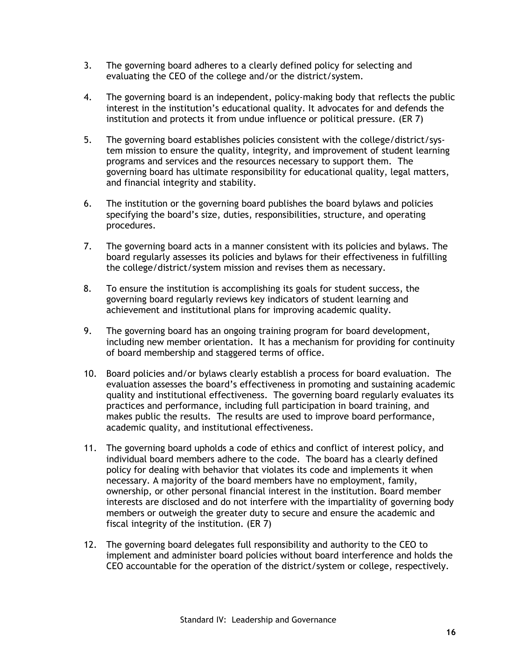- 3. The governing board adheres to a clearly defined policy for selecting and evaluating the CEO of the college and/or the district/system.
- 4. The governing board is an independent, policy-making body that reflects the public interest in the institution's educational quality. It advocates for and defends the institution and protects it from undue influence or political pressure. (ER 7)
- 5. The governing board establishes policies consistent with the college/district/system mission to ensure the quality, integrity, and improvement of student learning programs and services and the resources necessary to support them. The governing board has ultimate responsibility for educational quality, legal matters, and financial integrity and stability.
- 6. The institution or the governing board publishes the board bylaws and policies specifying the board's size, duties, responsibilities, structure, and operating procedures.
- 7. The governing board acts in a manner consistent with its policies and bylaws. The board regularly assesses its policies and bylaws for their effectiveness in fulfilling the college/district/system mission and revises them as necessary.
- 8. To ensure the institution is accomplishing its goals for student success, the governing board regularly reviews key indicators of student learning and achievement and institutional plans for improving academic quality.
- 9. The governing board has an ongoing training program for board development, including new member orientation. It has a mechanism for providing for continuity of board membership and staggered terms of office.
- 10. Board policies and/or bylaws clearly establish a process for board evaluation. The evaluation assesses the board's effectiveness in promoting and sustaining academic quality and institutional effectiveness. The governing board regularly evaluates its practices and performance, including full participation in board training, and makes public the results. The results are used to improve board performance, academic quality, and institutional effectiveness.
- 11. The governing board upholds a code of ethics and conflict of interest policy, and individual board members adhere to the code. The board has a clearly defined policy for dealing with behavior that violates its code and implements it when necessary. A majority of the board members have no employment, family, ownership, or other personal financial interest in the institution. Board member interests are disclosed and do not interfere with the impartiality of governing body members or outweigh the greater duty to secure and ensure the academic and fiscal integrity of the institution. (ER 7)
- 12. The governing board delegates full responsibility and authority to the CEO to implement and administer board policies without board interference and holds the CEO accountable for the operation of the district/system or college, respectively.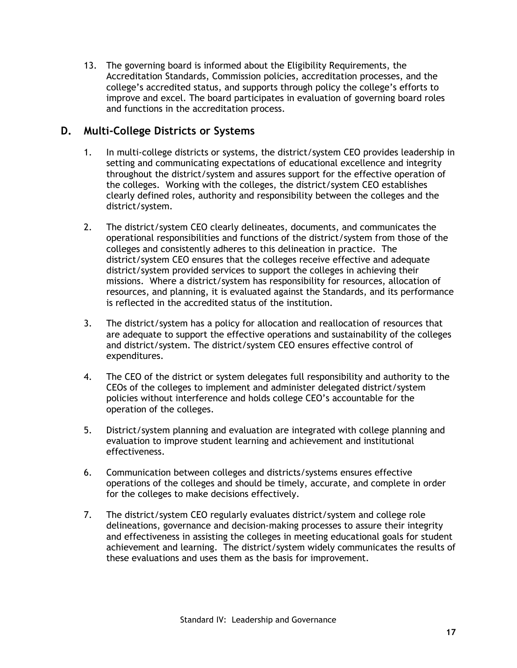13. The governing board is informed about the Eligibility Requirements, the Accreditation Standards, Commission policies, accreditation processes, and the college's accredited status, and supports through policy the college's efforts to improve and excel. The board participates in evaluation of governing board roles and functions in the accreditation process.

### **D. Multi-College Districts or Systems**

- 1. In multi-college districts or systems, the district/system CEO provides leadership in setting and communicating expectations of educational excellence and integrity throughout the district/system and assures support for the effective operation of the colleges. Working with the colleges, the district/system CEO establishes clearly defined roles, authority and responsibility between the colleges and the district/system.
- 2. The district/system CEO clearly delineates, documents, and communicates the operational responsibilities and functions of the district/system from those of the colleges and consistently adheres to this delineation in practice. The district/system CEO ensures that the colleges receive effective and adequate district/system provided services to support the colleges in achieving their missions. Where a district/system has responsibility for resources, allocation of resources, and planning, it is evaluated against the Standards, and its performance is reflected in the accredited status of the institution.
- 3. The district/system has a policy for allocation and reallocation of resources that are adequate to support the effective operations and sustainability of the colleges and district/system. The district/system CEO ensures effective control of expenditures.
- 4. The CEO of the district or system delegates full responsibility and authority to the CEOs of the colleges to implement and administer delegated district/system policies without interference and holds college CEO's accountable for the operation of the colleges.
- 5. District/system planning and evaluation are integrated with college planning and evaluation to improve student learning and achievement and institutional effectiveness.
- 6. Communication between colleges and districts/systems ensures effective operations of the colleges and should be timely, accurate, and complete in order for the colleges to make decisions effectively.
- 7. The district/system CEO regularly evaluates district/system and college role delineations, governance and decision-making processes to assure their integrity and effectiveness in assisting the colleges in meeting educational goals for student achievement and learning. The district/system widely communicates the results of these evaluations and uses them as the basis for improvement.